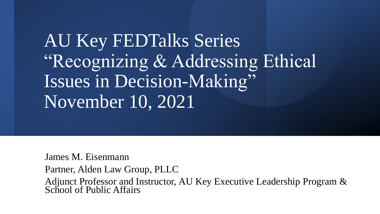AU Key FEDTalks Series "Recognizing & Addressing Ethical Issues in Decision-Making" November 10, 2021

James M. Eisenmann Partner, Alden Law Group, PLLC Adjunct Professor and Instructor, AU Key Executive Leadership Program & School of Public Affairs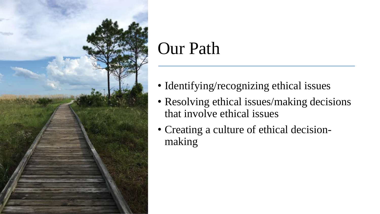

## Our Path

- Identifying/recognizing ethical issues
- Resolving ethical issues/making decisions that involve ethical issues
- Creating a culture of ethical decisionmaking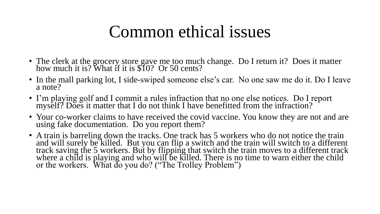## Common ethical issues

- The clerk at the grocery store gave me too much change. Do I return it? Does it matter how much it is? What if it is \$10? Or 50 cents?
- In the mall parking lot, I side-swiped someone else's car. No one saw me do it. Do I leave a note?
- I'm playing golf and I commit a rules infraction that no one else notices. Do I report myself? Does it matter that I do not think I have benefitted from the infraction?
- Your co-worker claims to have received the covid vaccine. You know they are not and are using fake documentation. Do you report them?
- A train is barreling down the tracks. One track has 5 workers who do not notice the train and will surely be killed. But you can flip a switch and the train will switch to a different track saving the 5 workers. But by flipping that switch the train moves to a different track where a child is playing and who will be killed. There is no time to warn either the child or the workers. What do you do? ("The Trolley Problem")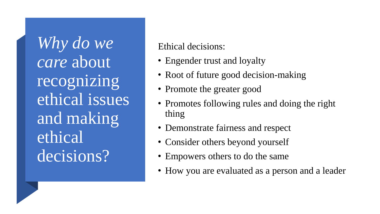*Why do we care* about recognizing ethical issues and making ethical decisions?

Ethical decisions:

- Engender trust and loyalty
- Root of future good decision-making
- Promote the greater good
- Promotes following rules and doing the right thing
- Demonstrate fairness and respect
- Consider others beyond yourself
- Empowers others to do the same
- How you are evaluated as a person and a leader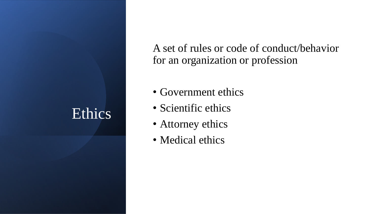### Ethics

A set of rules or code of conduct/behavior for an organization or profession

- Government ethics
- Scientific ethics
- Attorney ethics
- Medical ethics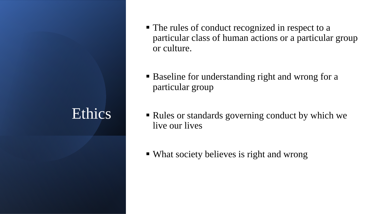#### Ethics

- The rules of conduct recognized in respect to a particular class of human actions or a particular group or culture.
- Baseline for understanding right and wrong for a particular group
- Rules or standards governing conduct by which we live our lives
- What society believes is right and wrong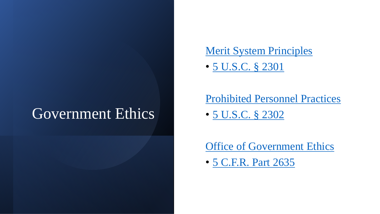#### Government Ethics

#### [Merit System Principles](https://www.mspb.gov/meritsystemsprinciples.htm)

• [5 U.S.C. §](https://uscode.house.gov/view.xhtml?req=(title:5%20section:2301%20edition:prelim)%20OR%20(granuleid:USC-prelim-title5-section2301)&f=treesort&edition=prelim&num=0&jumpTo=true) 2301

[Prohibited Personnel Practices](https://www.mspb.gov/ppp/ppp.htm)

• [5 U.S.C. §](https://uscode.house.gov/view.xhtml?req=(title:5%20section:2302%20edition:prelim)%20OR%20(granuleid:USC-prelim-title5-section2302)&f=treesort&edition=prelim&num=0&jumpTo=true) 2302

[Office of Government Ethics](https://www.oge.gov/)

• [5 C.F.R. Part 2635](https://gov.ecfr.io/cgi-bin/text-idx?SID=d05e833765bbaf451c5a34c69cf78ab3&mc=true&node=pt5.3.2635&rgn=div5)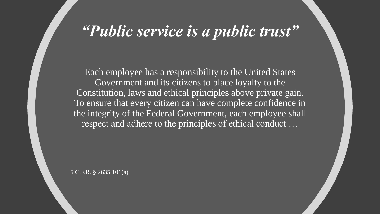#### *"Public service is a public trust"*

Each employee has a responsibility to the United States Government and its citizens to place loyalty to the Constitution, laws and ethical principles above private gain. To ensure that every citizen can have complete confidence in the integrity of the Federal Government, each employee shall respect and adhere to the principles of ethical conduct …

5 C.F.R. § 2635.101(a)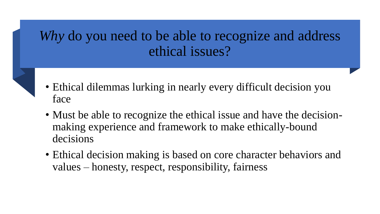#### *Why* do you need to be able to recognize and address ethical issues?

- Ethical dilemmas lurking in nearly every difficult decision you face
- Must be able to recognize the ethical issue and have the decisionmaking experience and framework to make ethically-bound decisions
- Ethical decision making is based on core character behaviors and values – honesty, respect, responsibility, fairness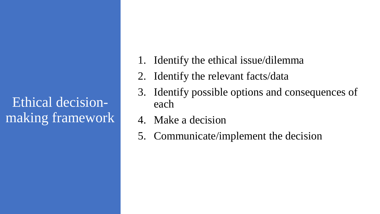#### Ethical decisionmaking framework

- 1. Identify the ethical issue/dilemma
- 2. Identify the relevant facts/data
- 3. Identify possible options and consequences of each
- 4. Make a decision
- 5. Communicate/implement the decision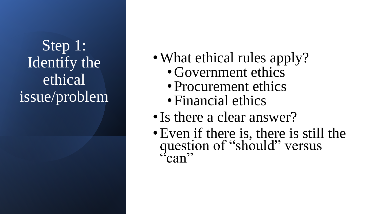Step 1: Identify the ethical issue/problem

- What ethical rules apply?
	- Government ethics
	- Procurement ethics
	- Financial ethics
- Is there a clear answer?
- •Even if there is, there is still the question of "should" versus  $\lq^{\mathfrak{c}}$  can"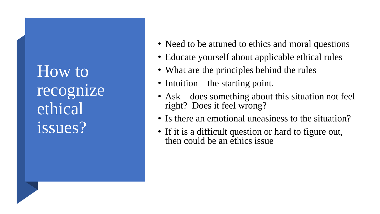How to recognize ethical issues?

- Need to be attuned to ethics and moral questions
- Educate yourself about applicable ethical rules
- What are the principles behind the rules
- Intuition the starting point.
- Ask does something about this situation not feel right? Does it feel wrong?
- Is there an emotional uneasiness to the situation?
- If it is a difficult question or hard to figure out, then could be an ethics issue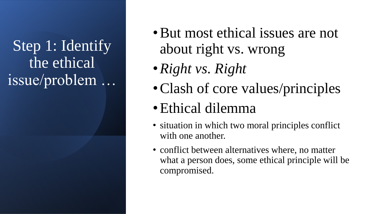Step 1: Identify the ethical issue/problem …

- •But most ethical issues are not about right vs. wrong
- •*Right vs. Right*
- Clash of core values/principles
- •Ethical dilemma
- situation in which two moral principles conflict with one another.
- conflict between alternatives where, no matter what a person does, some ethical principle will be compromised.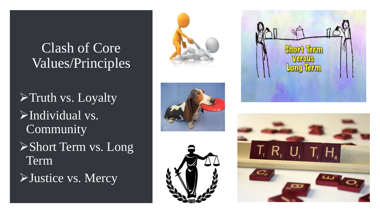#### Clash of Core Values/Principles

➢Truth vs. Loyalty ➢Individual vs. Community ➢Short Term vs. Long Term

➢Justice vs. Mercy









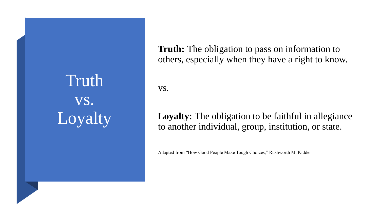Truth vs. Loyalty **Truth:** The obligation to pass on information to others, especially when they have a right to know.

vs.

#### **Loyalty:** The obligation to be faithful in allegiance to another individual, group, institution, or state.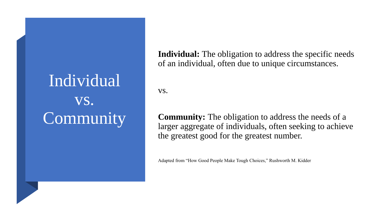## Individual vs. Community

**Individual:** The obligation to address the specific needs of an individual, often due to unique circumstances.

vs.

**Community:** The obligation to address the needs of a larger aggregate of individuals, often seeking to achieve the greatest good for the greatest number.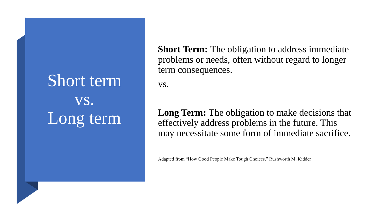Short term vs. Long term **Short Term:** The obligation to address immediate problems or needs, often without regard to longer term consequences.

vs.

**Long Term:** The obligation to make decisions that effectively address problems in the future. This may necessitate some form of immediate sacrifice.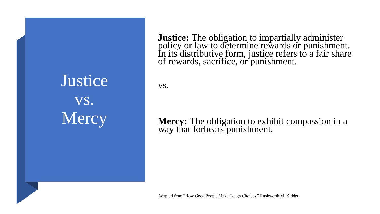**Justice** vs. Mercy

**Justice:** The obligation to impartially administer policy or law to determine rewards or punishment. In its distributive form, justice refers to a fair share of rewards, sacrifice, or punishment.

vs.

#### **Mercy:** The obligation to exhibit compassion in a way that forbears punishment.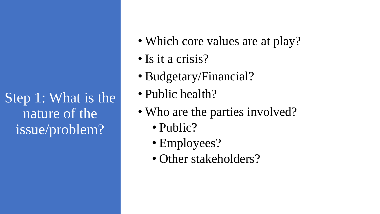Step 1: What is the nature of the issue/problem?

- Which core values are at play?
- Is it a crisis?
- Budgetary/Financial?
- Public health?
- Who are the parties involved?
	- Public?
	- Employees?
	- Other stakeholders?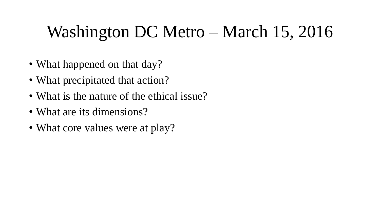## Washington DC Metro – March 15, 2016

- What happened on that day?
- What precipitated that action?
- What is the nature of the ethical issue?
- What are its dimensions?
- What core values were at play?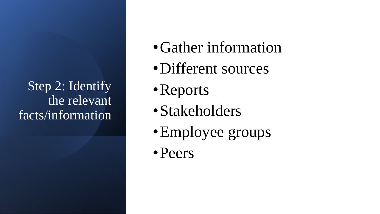Step 2: Identify the relevant facts/information

- Gather information
- •Different sources
- •Reports
- •Stakeholders
- •Employee groups
- •Peers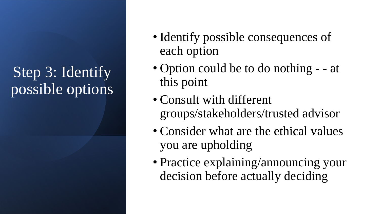## Step 3: Identify possible options

- Identify possible consequences of each option
- Option could be to do nothing - at this point
- Consult with different groups/stakeholders/trusted advisor
- Consider what are the ethical values you are upholding
- Practice explaining/announcing your decision before actually deciding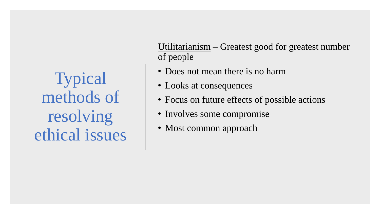Typical methods of resolving ethical issues

Utilitarianism – Greatest good for greatest number of people

- Does not mean there is no harm
- Looks at consequences
- Focus on future effects of possible actions
- Involves some compromise
- Most common approach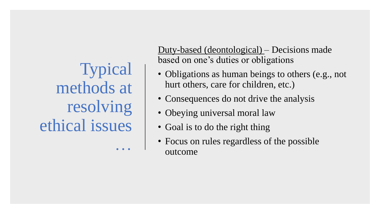Typical methods at resolving ethical issues …

Duty-based (deontological) – Decisions made based on one's duties or obligations

- Obligations as human beings to others (e.g., not hurt others, care for children, etc.)
- Consequences do not drive the analysis
- Obeying universal moral law
- Goal is to do the right thing
- Focus on rules regardless of the possible outcome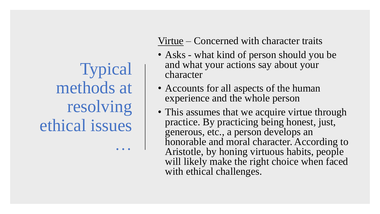Typical methods at resolving ethical issues …

Virtue – Concerned with character traits

- Asks what kind of person should you be and what your actions say about your character
- Accounts for all aspects of the human experience and the whole person
- This assumes that we acquire virtue through practice. By practicing being honest, just, generous, etc., a person develops an honorable and moral character. According to Aristotle, by honing virtuous habits, people will likely make the right choice when faced with ethical challenges.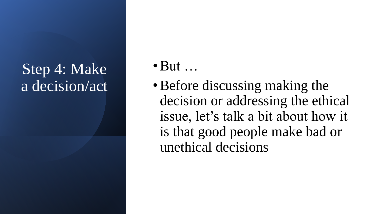## Step 4: Make a decision/act

- $\bullet$  But  $\ldots$
- Before discussing making the decision or addressing the ethical issue, let's talk a bit about how it is that good people make bad or unethical decisions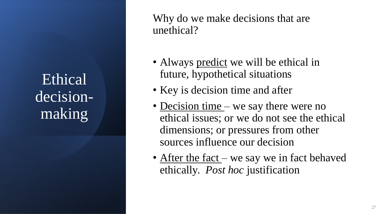Ethical decisionmaking

Why do we make decisions that are unethical?

- Always predict we will be ethical in future, hypothetical situations
- Key is decision time and after
- Decision time we say there were no ethical issues; or we do not see the ethical dimensions; or pressures from other sources influence our decision
- After the fact we say we in fact behaved ethically. *Post hoc* justification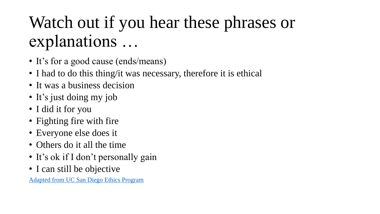## Watch out if you hear these phrases or explanations …

- It's for a good cause (ends/means)
- I had to do this thing/it was necessary, therefore it is ethical
- It was a business decision
- It's just doing my job
- I did it for you
- Fighting fire with fire
- Everyone else does it
- Others do it all the time
- It's ok if I don't personally gain
- I can still be objective

[Adapted from UC San Diego Ethics Program](https://blink.ucsd.edu/finance/accountability/ethics-awareness.html#Obstacles)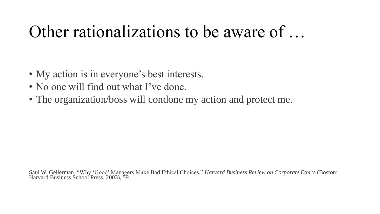## Other rationalizations to be aware of …

- My action is in everyone's best interests.
- No one will find out what I've done.
- The organization/boss will condone my action and protect me.

Saul W. Gellerman, "Why 'Good' Managers Make Bad Ethical Choices," *Harvard Business Review on Corporate Ethics* (Boston: Harvard Business School Press, 2003), 59.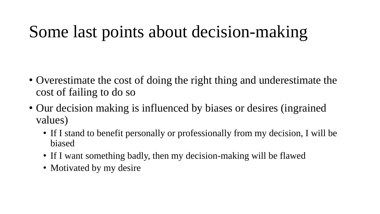## Some last points about decision-making

- Overestimate the cost of doing the right thing and underestimate the cost of failing to do so
- Our decision making is influenced by biases or desires (ingrained values)
	- If I stand to benefit personally or professionally from my decision, I will be biased
	- If I want something badly, then my decision-making will be flawed
	- Motivated by my desire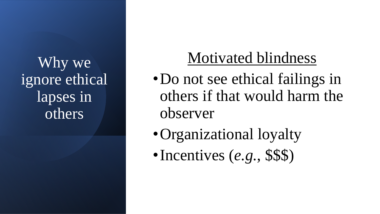Why we ignore ethical lapses in others

## Motivated blindness

- Do not see ethical failings in others if that would harm the observer
- Organizational loyalty
- •Incentives (*e.g.*, \$\$\$)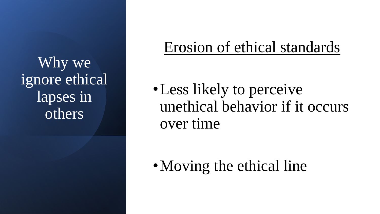Why we ignore ethical lapses in others

## Erosion of ethical standards

• Less likely to perceive unethical behavior if it occurs over time

• Moving the ethical line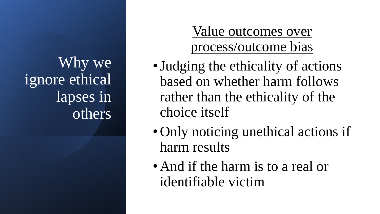Why we ignore ethical lapses in others

#### Value outcomes over process/outcome bias

- •Judging the ethicality of actions based on whether harm follows rather than the ethicality of the choice itself
- Only noticing unethical actions if harm results
- And if the harm is to a real or identifiable victim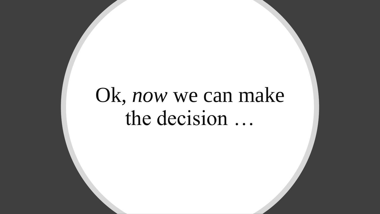# Ok, *now* we can make the decision …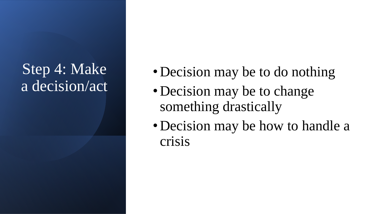## Step 4: Make a decision/act

- Decision may be to do nothing
- Decision may be to change something drastically
- Decision may be how to handle a crisis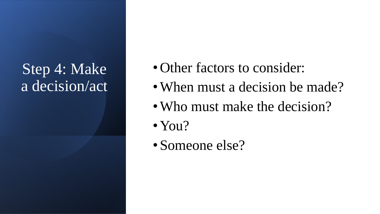## Step 4: Make a decision/act

- Other factors to consider:
- When must a decision be made?
- Who must make the decision?
- You?
- Someone else?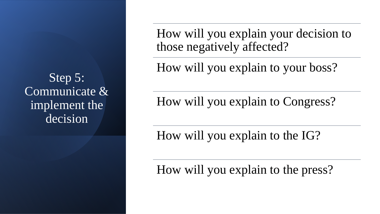Step 5: Communicate & implement the decision

How will you explain your decision to those negatively affected?

How will you explain to your boss?

How will you explain to Congress?

How will you explain to the IG?

How will you explain to the press?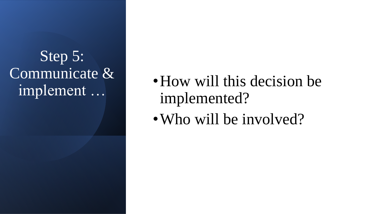## Step 5: Communicate & implement …

• How will this decision be implemented?

• Who will be involved?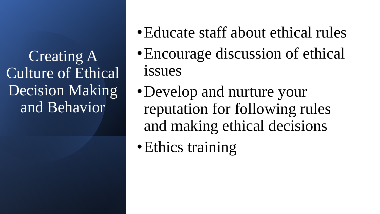Creating A Culture of Ethical Decision Making and Behavior

- Educate staff about ethical rules
- Encourage discussion of ethical issues
- Develop and nurture your reputation for following rules and making ethical decisions
- Ethics training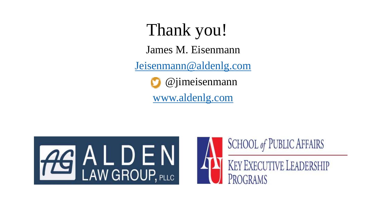Thank you! James M. Eisenmann [Jeisenmann@aldenlg.com](mailto:Jeisenmann@aldenlg.com) @jimeisenmann [www.aldenlg.com](http://www.aldenlg.com/)